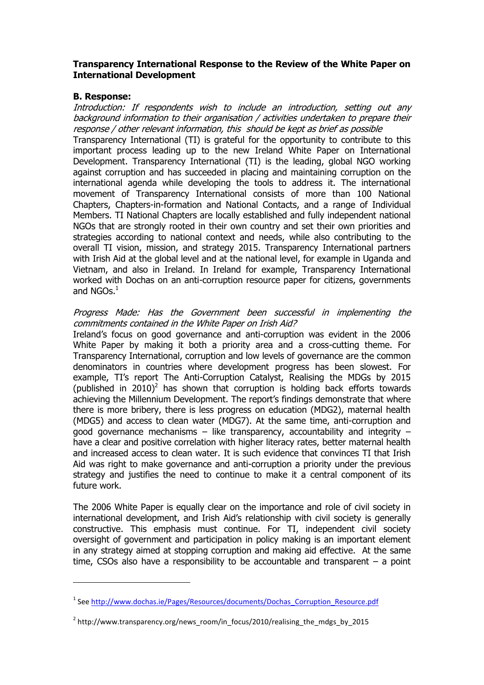# **Transparency International Response to the Review of the White Paper on International Development**

#### **B. Response:**

<u>.</u>

Introduction: If respondents wish to include an introduction, setting out any background information to their organisation / activities undertaken to prepare their response / other relevant information, this should be kept as brief as possible

Transparency International (TI) is grateful for the opportunity to contribute to this important process leading up to the new Ireland White Paper on International Development. Transparency International (TI) is the leading, global NGO working against corruption and has succeeded in placing and maintaining corruption on the international agenda while developing the tools to address it. The international movement of Transparency International consists of more than 100 National Chapters, Chapters-in-formation and National Contacts, and a range of Individual Members. TI National Chapters are locally established and fully independent national NGOs that are strongly rooted in their own country and set their own priorities and strategies according to national context and needs, while also contributing to the overall TI vision, mission, and strategy 2015. Transparency International partners with Irish Aid at the global level and at the national level, for example in Uganda and Vietnam, and also in Ireland. In Ireland for example, Transparency International worked with Dochas on an anti-corruption resource paper for citizens, governments and  $NGOs.<sup>1</sup>$ 

#### Progress Made: Has the Government been successful in implementing the commitments contained in the White Paper on Irish Aid?

Ireland's focus on good governance and anti-corruption was evident in the 2006 White Paper by making it both a priority area and a cross-cutting theme. For Transparency International, corruption and low levels of governance are the common denominators in countries where development progress has been slowest. For example, TI's report The Anti-Corruption Catalyst, Realising the MDGs by 2015 (published in 2010)<sup>2</sup> has shown that corruption is holding back efforts towards achieving the Millennium Development. The report's findings demonstrate that where there is more bribery, there is less progress on education (MDG2), maternal health (MDG5) and access to clean water (MDG7). At the same time, anti-corruption and good governance mechanisms – like transparency, accountability and integrity – have a clear and positive correlation with higher literacy rates, better maternal health and increased access to clean water. It is such evidence that convinces TI that Irish Aid was right to make governance and anti-corruption a priority under the previous strategy and justifies the need to continue to make it a central component of its future work.

The 2006 White Paper is equally clear on the importance and role of civil society in international development, and Irish Aid's relationship with civil society is generally constructive. This emphasis must continue. For TI, independent civil society oversight of government and participation in policy making is an important element in any strategy aimed at stopping corruption and making aid effective. At the same time, CSOs also have a responsibility to be accountable and transparent  $-$  a point

<sup>&</sup>lt;sup>1</sup> See http://www.dochas.ie/Pages/Resources/documents/Dochas Corruption Resource.pdf

<sup>&</sup>lt;sup>2</sup> http://www.transparency.org/news\_room/in\_focus/2010/realising\_the\_mdgs\_by\_2015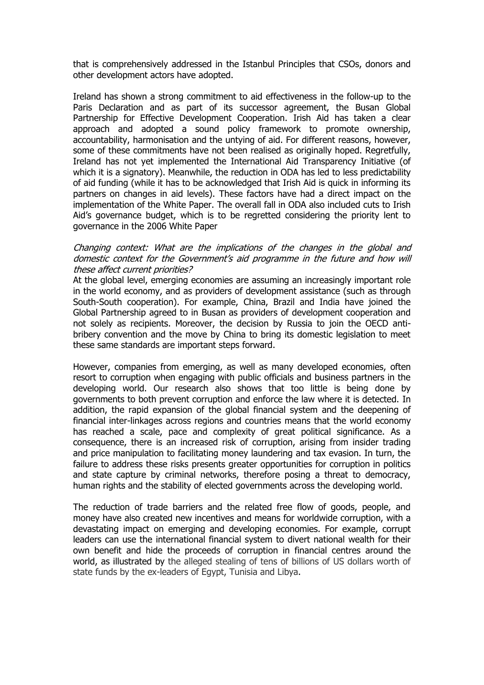that is comprehensively addressed in the Istanbul Principles that CSOs, donors and other development actors have adopted.

Ireland has shown a strong commitment to aid effectiveness in the follow-up to the Paris Declaration and as part of its successor agreement, the Busan Global Partnership for Effective Development Cooperation. Irish Aid has taken a clear approach and adopted a sound policy framework to promote ownership, accountability, harmonisation and the untying of aid. For different reasons, however, some of these commitments have not been realised as originally hoped. Regretfully, Ireland has not yet implemented the International Aid Transparency Initiative (of which it is a signatory). Meanwhile, the reduction in ODA has led to less predictability of aid funding (while it has to be acknowledged that Irish Aid is quick in informing its partners on changes in aid levels). These factors have had a direct impact on the implementation of the White Paper. The overall fall in ODA also included cuts to Irish Aid's governance budget, which is to be regretted considering the priority lent to governance in the 2006 White Paper

## Changing context: What are the implications of the changes in the global and domestic context for the Government's aid programme in the future and how will these affect current priorities?

At the global level, emerging economies are assuming an increasingly important role in the world economy, and as providers of development assistance (such as through South-South cooperation). For example, China, Brazil and India have joined the Global Partnership agreed to in Busan as providers of development cooperation and not solely as recipients. Moreover, the decision by Russia to join the OECD antibribery convention and the move by China to bring its domestic legislation to meet these same standards are important steps forward.

However, companies from emerging, as well as many developed economies, often resort to corruption when engaging with public officials and business partners in the developing world. Our research also shows that too little is being done by governments to both prevent corruption and enforce the law where it is detected. In addition, the rapid expansion of the global financial system and the deepening of financial inter-linkages across regions and countries means that the world economy has reached a scale, pace and complexity of great political significance. As a consequence, there is an increased risk of corruption, arising from insider trading and price manipulation to facilitating money laundering and tax evasion. In turn, the failure to address these risks presents greater opportunities for corruption in politics and state capture by criminal networks, therefore posing a threat to democracy, human rights and the stability of elected governments across the developing world.

The reduction of trade barriers and the related free flow of goods, people, and money have also created new incentives and means for worldwide corruption, with a devastating impact on emerging and developing economies. For example, corrupt leaders can use the international financial system to divert national wealth for their own benefit and hide the proceeds of corruption in financial centres around the world, as illustrated by the alleged stealing of tens of billions of US dollars worth of state funds by the ex-leaders of Egypt, Tunisia and Libya.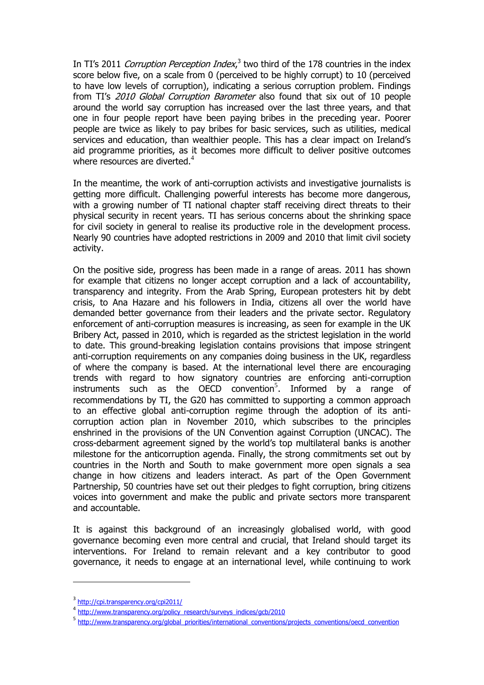In TI's 2011 Corruption Perception Index,<sup>3</sup> two third of the 178 countries in the index score below five, on a scale from 0 (perceived to be highly corrupt) to 10 (perceived to have low levels of corruption), indicating a serious corruption problem. Findings from TI's 2010 Global Corruption Barometer also found that six out of 10 people around the world say corruption has increased over the last three years, and that one in four people report have been paying bribes in the preceding year. Poorer people are twice as likely to pay bribes for basic services, such as utilities, medical services and education, than wealthier people. This has a clear impact on Ireland's aid programme priorities, as it becomes more difficult to deliver positive outcomes where resources are diverted.<sup>4</sup>

In the meantime, the work of anti-corruption activists and investigative journalists is getting more difficult. Challenging powerful interests has become more dangerous, with a growing number of TI national chapter staff receiving direct threats to their physical security in recent years. TI has serious concerns about the shrinking space for civil society in general to realise its productive role in the development process. Nearly 90 countries have adopted restrictions in 2009 and 2010 that limit civil society activity.

On the positive side, progress has been made in a range of areas. 2011 has shown for example that citizens no longer accept corruption and a lack of accountability, transparency and integrity. From the Arab Spring, European protesters hit by debt crisis, to Ana Hazare and his followers in India, citizens all over the world have demanded better governance from their leaders and the private sector. Regulatory enforcement of anti-corruption measures is increasing, as seen for example in the UK Bribery Act, passed in 2010, which is regarded as the strictest legislation in the world to date. This ground-breaking legislation contains provisions that impose stringent anti-corruption requirements on any companies doing business in the UK, regardless of where the company is based. At the international level there are encouraging trends with regard to how signatory countries are enforcing anti-corruption instruments such as the OECD convention<sup>5</sup>. Informed by a range of recommendations by TI, the G20 has committed to supporting a common approach to an effective global anti-corruption regime through the adoption of its anticorruption action plan in November 2010, which subscribes to the principles enshrined in the provisions of the UN Convention against Corruption (UNCAC). The cross-debarment agreement signed by the world's top multilateral banks is another milestone for the anticorruption agenda. Finally, the strong commitments set out by countries in the North and South to make government more open signals a sea change in how citizens and leaders interact. As part of the Open Government Partnership, 50 countries have set out their pledges to fight corruption, bring citizens voices into government and make the public and private sectors more transparent and accountable.

It is against this background of an increasingly globalised world, with good governance becoming even more central and crucial, that Ireland should target its interventions. For Ireland to remain relevant and a key contributor to good governance, it needs to engage at an international level, while continuing to work

1

<sup>3</sup> <http://cpi.transparency.org/cpi2011/>

<sup>&</sup>lt;sup>4</sup> [http://www.transparency.org/policy\\_research/surveys\\_indices/gcb/2010](http://www.transparency.org/policy_research/surveys_indices/gcb/2010)

<sup>&</sup>lt;sup>5</sup> [http://www.transparency.org/global\\_priorities/international\\_conventions/projects\\_conventions/oecd\\_convention](http://www.transparency.org/global_priorities/international_conventions/projects_conventions/oecd_convention)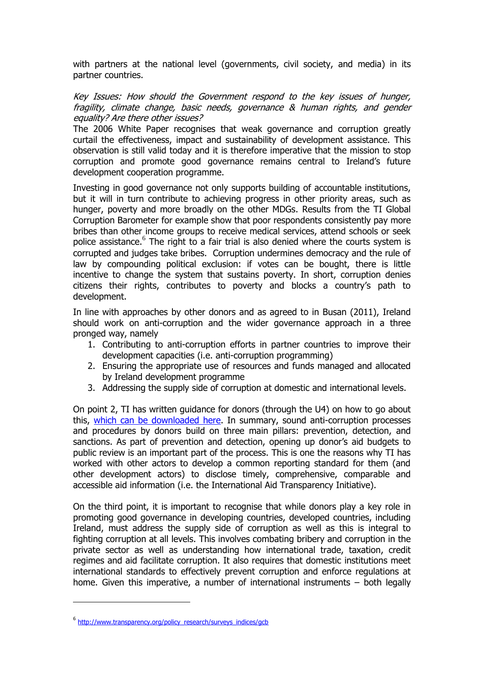with partners at the national level (governments, civil society, and media) in its partner countries.

Key Issues: How should the Government respond to the key issues of hunger, fragility, climate change, basic needs, governance & human rights, and gender equality? Are there other issues?

The 2006 White Paper recognises that weak governance and corruption greatly curtail the effectiveness, impact and sustainability of development assistance. This observation is still valid today and it is therefore imperative that the mission to stop corruption and promote good governance remains central to Ireland's future development cooperation programme.

Investing in good governance not only supports building of accountable institutions, but it will in turn contribute to achieving progress in other priority areas, such as hunger, poverty and more broadly on the other MDGs. Results from the TI Global Corruption Barometer for example show that poor respondents consistently pay more bribes than other income groups to receive medical services, attend schools or seek police assistance.<sup>6</sup> The right to a fair trial is also denied where the courts system is corrupted and judges take bribes. Corruption undermines democracy and the rule of law by compounding political exclusion: if votes can be bought, there is little incentive to change the system that sustains poverty. In short, corruption denies citizens their rights, contributes to poverty and blocks a country's path to development.

In line with approaches by other donors and as agreed to in Busan (2011), Ireland should work on anti-corruption and the wider governance approach in a three pronged way, namely

- 1. Contributing to anti-corruption efforts in partner countries to improve their development capacities (i.e. anti-corruption programming)
- 2. Ensuring the appropriate use of resources and funds managed and allocated by Ireland development programme
- 3. Addressing the supply side of corruption at domestic and international levels.

On point 2, TI has written guidance for donors (through the U4) on how to go about this, [which can be downloaded here.](http://www.u4.no/publications/mainstreaming-anti-corruption-within-donor-agencies/) In summary, sound anti-corruption processes and procedures by donors build on three main pillars: prevention, detection, and sanctions. As part of prevention and detection, opening up donor's aid budgets to public review is an important part of the process. This is one the reasons why TI has worked with other actors to develop a common reporting standard for them (and other development actors) to disclose timely, comprehensive, comparable and accessible aid information (i.e. the International Aid Transparency Initiative).

On the third point, it is important to recognise that while donors play a key role in promoting good governance in developing countries, developed countries, including Ireland, must address the supply side of corruption as well as this is integral to fighting corruption at all levels. This involves combating bribery and corruption in the private sector as well as understanding how international trade, taxation, credit regimes and aid facilitate corruption. It also requires that domestic institutions meet international standards to effectively prevent corruption and enforce regulations at home. Given this imperative, a number of international instruments – both legally

1

<sup>&</sup>lt;sup>6</sup> [http://www.transparency.org/policy\\_research/surveys\\_indices/gcb](http://www.transparency.org/policy_research/surveys_indices/gcb)